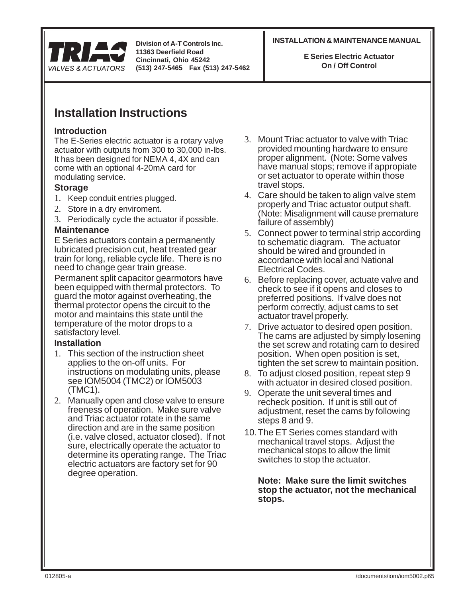

**11363 Deerfield Road Cincinnati, Ohio 45242 (513) 247-5465 Fax (513) 247-5462**

#### **INSTALLATION & MAINTENANCE MANUAL Division of A-T Controls Inc.**

**E Series Electric Actuator On / Off Control**

# **Installation Instructions**

# **Introduction**

The E-Series electric actuator is a rotary valve actuator with outputs from 300 to 30,000 in-lbs. It has been designed for NEMA 4, 4X and can come with an optional 4-20mA card for modulating service.

## **Storage**

- 1. Keep conduit entries plugged.
- 2. Store in a dry enviroment.
- 3. Periodically cycle the actuator if possible.

## **Maintenance**

E Series actuators contain a permanently lubricated precision cut, heat treated gear train for long, reliable cycle life. There is no need to change gear train grease.

Permanent split capacitor gearmotors have been equipped with thermal protectors. To guard the motor against overheating, the thermal protector opens the circuit to the motor and maintains this state until the temperature of the motor drops to a satisfactory level.

## **Installation**

- 1. This section of the instruction sheet applies to the on-off units. For instructions on modulating units, please see IOM5004 (TMC2) or IOM5003 (TMC1).
- 2. Manually open and close valve to ensure freeness of operation. Make sure valve and Triac actuator rotate in the same direction and are in the same position (i.e. valve closed, actuator closed). If not sure, electrically operate the actuator to determine its operating range. The Triac electric actuators are factory set for 90 degree operation.
- 3. Mount Triac actuator to valve with Triac provided mounting hardware to ensure proper alignment. (Note: Some valves have manual stops; remove if appropiate or set actuator to operate within those travel stops.
- 4. Care should be taken to align valve stem properly and Triac actuator output shaft. (Note: Misalignment will cause premature failure of assembly)
- 5. Connect power to terminal strip according to schematic diagram. The actuator should be wired and grounded in accordance with local and National Electrical Codes.
- 6. Before replacing cover, actuate valve and check to see if it opens and closes to preferred positions. If valve does not perform correctly, adjust cams to set actuator travel properly.
- 7. Drive actuator to desired open position. The cams are adjusted by simply losening the set screw and rotating cam to desired position. When open position is set, tighten the set screw to maintain position.
- 8. To adjust closed position, repeat step 9 with actuator in desired closed position.
- 9. Operate the unit several times and recheck position. If unit is still out of adjustment, reset the cams by following steps 8 and 9.
- 10.The ET Series comes standard with mechanical travel stops. Adjust the mechanical stops to allow the limit switches to stop the actuator.

**Note: Make sure the limit switches stop the actuator, not the mechanical stops.**